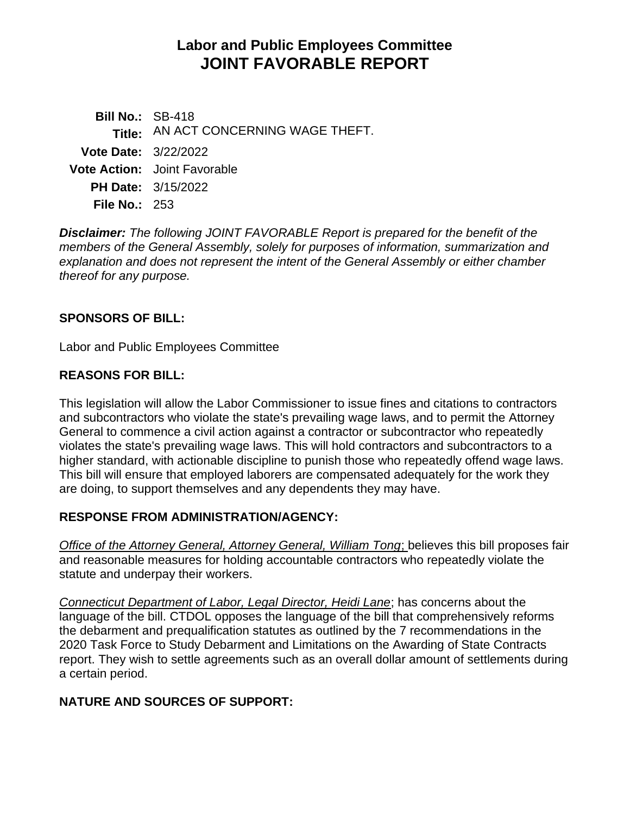# **Labor and Public Employees Committee JOINT FAVORABLE REPORT**

**Bill No.:** SB-418 **Title:** AN ACT CONCERNING WAGE THEFT. **Vote Date:** 3/22/2022 **Vote Action:** Joint Favorable **PH Date:** 3/15/2022 **File No.:** 253

*Disclaimer: The following JOINT FAVORABLE Report is prepared for the benefit of the members of the General Assembly, solely for purposes of information, summarization and explanation and does not represent the intent of the General Assembly or either chamber thereof for any purpose.*

## **SPONSORS OF BILL:**

Labor and Public Employees Committee

## **REASONS FOR BILL:**

This legislation will allow the Labor Commissioner to issue fines and citations to contractors and subcontractors who violate the state's prevailing wage laws, and to permit the Attorney General to commence a civil action against a contractor or subcontractor who repeatedly violates the state's prevailing wage laws. This will hold contractors and subcontractors to a higher standard, with actionable discipline to punish those who repeatedly offend wage laws. This bill will ensure that employed laborers are compensated adequately for the work they are doing, to support themselves and any dependents they may have.

#### **RESPONSE FROM ADMINISTRATION/AGENCY:**

*Office of the Attorney General, Attorney General, William Tong*; believes this bill proposes fair and reasonable measures for holding accountable contractors who repeatedly violate the statute and underpay their workers.

*Connecticut Department of Labor, Legal Director, Heidi Lane*; has concerns about the language of the bill. CTDOL opposes the language of the bill that comprehensively reforms the debarment and prequalification statutes as outlined by the 7 recommendations in the 2020 Task Force to Study Debarment and Limitations on the Awarding of State Contracts report. They wish to settle agreements such as an overall dollar amount of settlements during a certain period.

## **NATURE AND SOURCES OF SUPPORT:**